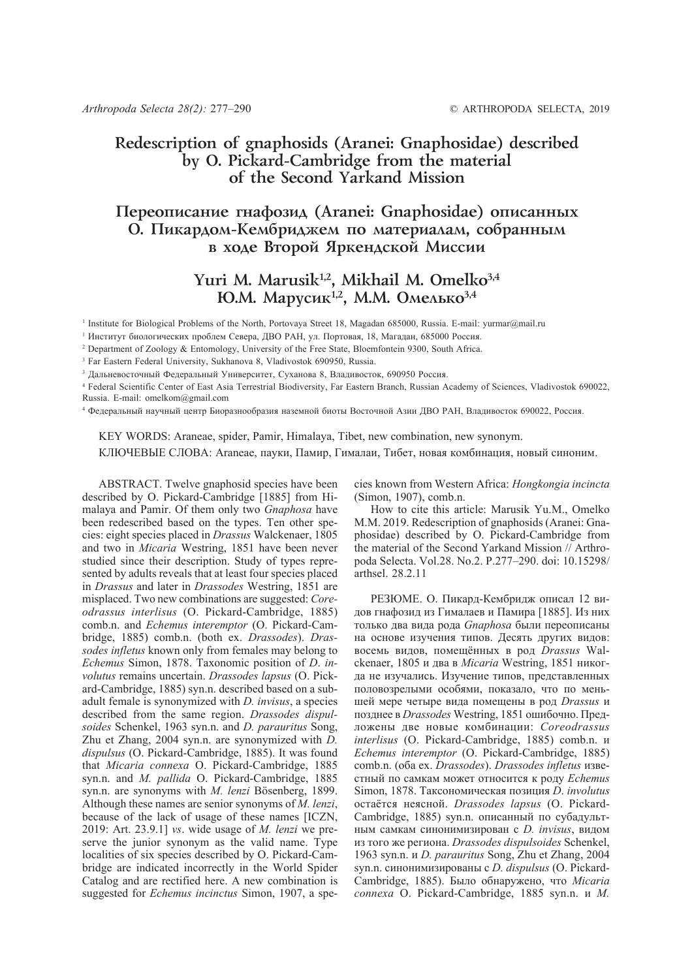## **Redescription of gnaphosids (Aranei: Gnaphosidae) described by O. Pickard-Cambridge from the material of the Second Yarkand Mission**

## Переописание гнафозид (Aranei: Gnaphosidae) описанных О. Пикардом-Кембриджем по материалам, собранным **в ходе Второй Яркендской Миссии**

# Yuri M. Marusik<sup>1,2</sup>, Mikhail M. Omelko<sup>3,4</sup> **Ю.М. Марусик<sup>1,2</sup>, М.М. Омелько<sup>3,4</sup>**

<sup>1</sup> Institute for Biological Problems of the North, Portovaya Street 18, Magadan 685000, Russia. E-mail: yurmar@mail.ru

2 Department of Zoology & Entomology, University of the Free State, Bloemfontein 9300, South Africa.

<sup>3</sup> Far Eastern Federal University, Sukhanova 8, Vladivostok 690950, Russia.

<sup>3</sup> Дальневосточный Федеральный Университет, Суханова 8, Владивосток, 690950 Россия.

4 Federal Scientific Center of East Asia Terrestrial Biodiversity, Far Eastern Branch, Russian Academy of Sciences, Vladivostok 690022, Russia. E-mail: omelkom@gmail.com

<sup>4</sup> Федеральный научный центр Биоразнообразия наземной биоты Восточной Азии ДВО РАН, Владивосток 690022, Россия.

KEY WORDS: Araneae, spider, Pamir, Himalaya, Tibet, new combination, new synonym. КЛЮЧЕВЫЕ СЛОВА: Araneae, пауки, Памир, Гималаи, Тибет, новая комбинация, новый синоним.

ABSTRACT. Twelve gnaphosid species have been described by O. Pickard-Cambridge [1885] from Himalaya and Pamir. Of them only two *Gnaphosa* have been redescribed based on the types. Ten other species: eight species placed in *Drassus* Walckenaer, 1805 and two in *Micaria* Westring, 1851 have been never studied since their description. Study of types represented by adults reveals that at least four species placed in *Drassus* and later in *Drassodes* Westring, 1851 are misplaced. Two new combinations are suggested: *Coreodrassus interlisus* (O. Pickard-Cambridge, 1885) comb.n. and *Echemus interemptor* (O. Pickard-Cambridge, 1885) comb.n. (both ex. *Drassodes*). *Drassodes infletus* known only from females may belong to *Echemus* Simon, 1878. Taxonomic position of *D*. *involutus* remains uncertain. *Drassodes lapsus* (O. Pickard-Cambridge, 1885) syn.n. described based on a subadult female is synonymized with *D. invisus*, a species described from the same region. *Drassodes dispulsoides* Schenkel, 1963 syn.n. and *D. parauritus* Song, Zhu et Zhang, 2004 syn.n. are synonymized with *D. dispulsus* (O. Pickard-Cambridge, 1885). It was found that *Micaria connexa* O. Pickard-Cambridge, 1885 syn.n. and *M. pallida* O. Pickard-Cambridge, 1885 syn.n. are synonyms with *M. lenzi* Bösenberg, 1899. Although these names are senior synonyms of *M. lenzi*, because of the lack of usage of these names [ICZN, 2019: Art. 23.9.1] *vs*. wide usage of *M. lenzi* we preserve the junior synonym as the valid name. Type localities of six species described by O. Pickard-Cambridge are indicated incorrectly in the World Spider Catalog and are rectified here. A new combination is suggested for *Echemus incinctus* Simon, 1907, a species known from Western Africa: *Hongkongia incincta* (Simon, 1907), comb.n.

How to cite this article: Marusik Yu.M., Omelko M.M. 2019. Redescription of gnaphosids (Aranei: Gnaphosidae) described by O. Pickard-Cambridge from the material of the Second Yarkand Mission // Arthropoda Selecta. Vol.28. No.2. P.277–290. doi: 10.15298/ arthsel. 28.2.11

РЕЗЮМЕ. О. Пикард-Кембридж описал 12 видов гнафозид из Гималаев и Памира [1885]. Из них только два вида рода *Gnaphosa* были переописаны на основе изучения типов. Десять других видов: восемь видов, помещённых в род *Drassus* Walckenaer, 1805 и два в *Micaria* Westring, 1851 никогда не изучались. Изучение типов, представленных половозрелыми особями, показало, что по меньшей мере четыре вида помещены в род *Drassus* и позднее в *Drassodes* Westring, 1851 ошибочно. Предложены две новые комбинации: *Coreodrassus interlisus* (O. Pickard-Cambridge, 1885) comb.n. и *Echemus interemptor* (O. Pickard-Cambridge, 1885) comb.n. (оба ex. *Drassodes*). *Drassodes infletus* известный по самкам может относится к роду *Echemus* Simon, 1878. Таксономическая позиция *D*. *involutus* остаётся неясной. *Drassodes lapsus* (O. Pickard-Cambridge, 1885) syn.n. описанный по субадультным самкам синонимизирован с *D. invisus*, видом из того же региона. *Drassodes dispulsoides* Schenkel, 1963 syn.n. и *D. parauritus* Song, Zhu et Zhang, 2004 syn.n. синонимизированы с *D. dispulsus* (O. Pickard-Cambridge, 1885). Было обнаружено, что *Micaria connexa* O. Pickard-Cambridge, 1885 syn.n. и *M.*

<sup>1</sup> Институт биологических проблем Севера, ДВО РАН, ул. Портовая, 18, Магадан, 685000 Россия.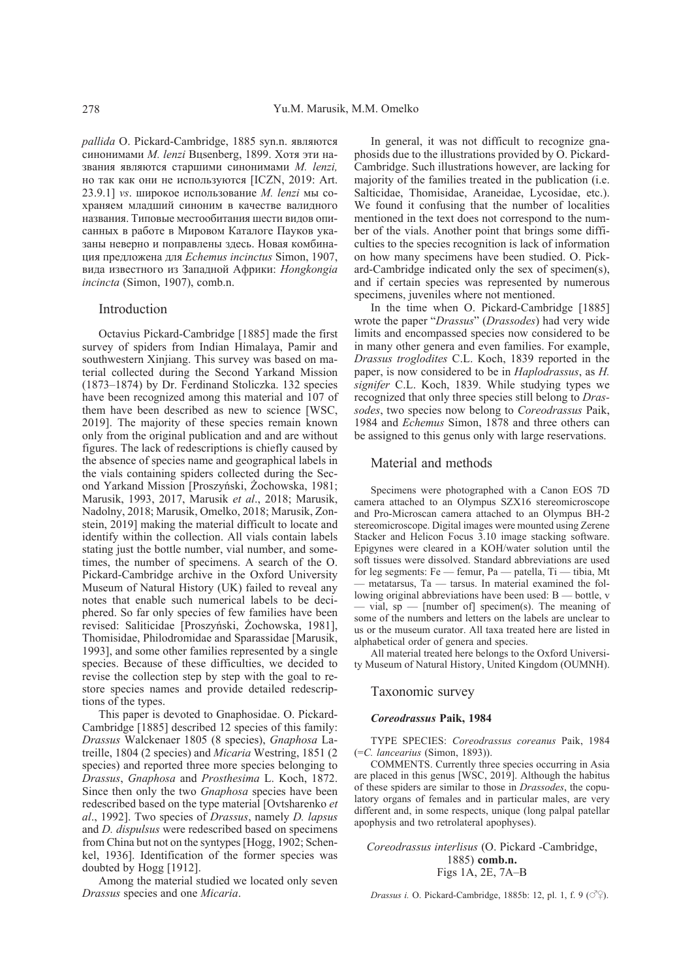*pallida* O. Pickard-Cambridge, 1885 syn.n. являются синонимами *M. lenzi* Bцsenberg, 1899. Хотя эти названия являются старшими синонимами *M. lenzi,* но так как они не используются [ICZN, 2019: Art. 23.9.1] *vs*. широкое использование *M. lenzi* мы сохраняем младший синоним в качестве валидного названия. Типовые местообитания шести видов описанных в работе в Мировом Каталоге Пауков указаны неверно и поправлены здесь. Новая комбинация предложена для *Echemus incinctus* Simon, 1907, вида известного из Западной Африки: *Hongkongia incincta* (Simon, 1907), comb.n.

#### Introduction

Octavius Pickard-Cambridge [1885] made the first survey of spiders from Indian Himalaya, Pamir and southwestern Xinjiang. This survey was based on material collected during the Second Yarkand Mission (1873–1874) by Dr. Ferdinand Stoliczka. 132 species have been recognized among this material and 107 of them have been described as new to science [WSC, 2019]. The majority of these species remain known only from the original publication and and are without figures. The lack of redescriptions is chiefly caused by the absence of species name and geographical labels in the vials containing spiders collected during the Second Yarkand Mission [Proszyński, Żochowska, 1981; Marusik, 1993, 2017, Marusik *et al*., 2018; Marusik, Nadolny, 2018; Marusik, Omelko, 2018; Marusik, Zonstein, 2019] making the material difficult to locate and identify within the collection. All vials contain labels stating just the bottle number, vial number, and sometimes, the number of specimens. A search of the O. Pickard-Cambridge archive in the Oxford University Museum of Natural History (UK) failed to reveal any notes that enable such numerical labels to be deciphered. So far only species of few families have been revised: Saliticidae [Proszyński, Żochowska, 1981], Thomisidae, Philodromidae and Sparassidae [Marusik, 1993], and some other families represented by a single species. Because of these difficulties, we decided to revise the collection step by step with the goal to restore species names and provide detailed redescriptions of the types.

This paper is devoted to Gnaphosidae. O. Pickard-Cambridge [1885] described 12 species of this family: *Drassus* Walckenaer 1805 (8 species), *Gnaphosa* Latreille, 1804 (2 species) and *Micaria* Westring, 1851 (2 species) and reported three more species belonging to *Drassus*, *Gnaphosa* and *Prosthesima* L. Koch, 1872. Since then only the two *Gnaphosa* species have been redescribed based on the type material [Ovtsharenko *et al*., 1992]. Two species of *Drassus*, namely *D. lapsus* and *D. dispulsus* were redescribed based on specimens from China but not on the syntypes [Hogg, 1902; Schenkel, 1936]. Identification of the former species was doubted by Hogg [1912].

Among the material studied we located only seven *Drassus* species and one *Micaria*.

In general, it was not difficult to recognize gnaphosids due to the illustrations provided by O. Pickard-Cambridge. Such illustrations however, are lacking for majority of the families treated in the publication (i.e. Salticidae, Thomisidae, Araneidae, Lycosidae, etc.). We found it confusing that the number of localities mentioned in the text does not correspond to the number of the vials. Another point that brings some difficulties to the species recognition is lack of information on how many specimens have been studied. O. Pickard-Cambridge indicated only the sex of specimen(s), and if certain species was represented by numerous specimens, juveniles where not mentioned.

In the time when O. Pickard-Cambridge [1885] wrote the paper "*Drassus*" (*Drassodes*) had very wide limits and encompassed species now considered to be in many other genera and even families. For example, *Drassus troglodites* C.L. Koch, 1839 reported in the paper, is now considered to be in *Haplodrassus*, as *H. signifer* C.L. Koch, 1839. While studying types we recognized that only three species still belong to *Drassodes*, two species now belong to *Coreodrassus* Paik, 1984 and *Echemus* Simon, 1878 and three others can be assigned to this genus only with large reservations.

### Material and methods

Specimens were photographed with a Canon EOS 7D camera attached to an Olympus SZX16 stereomicroscope and Pro-Microscan camera attached to an Olympus BH-2 stereomicroscope. Digital images were mounted using Zerene Stacker and Helicon Focus 3.10 image stacking software. Epigynes were cleared in a KOH/water solution until the soft tissues were dissolved. Standard abbreviations are used for leg segments: Fe — femur, Pa — patella, Ti — tibia, Mt — metatarsus, Ta — tarsus. In material examined the following original abbreviations have been used: B — bottle, v vial,  $sp$  — [number of] specimen(s). The meaning of some of the numbers and letters on the labels are unclear to us or the museum curator. All taxa treated here are listed in alphabetical order of genera and species.

All material treated here belongs to the Oxford University Museum of Natural History, United Kingdom (OUMNH).

## Taxonomic survey

#### *Coreodrassus* **Paik, 1984**

TYPE SPECIES: *Coreodrassus coreanus* Paik, 1984 (=*C. lancearius* (Simon, 1893)).

COMMENTS. Currently three species occurring in Asia are placed in this genus [WSC, 2019]. Although the habitus of these spiders are similar to those in *Drassodes*, the copulatory organs of females and in particular males, are very different and, in some respects, unique (long palpal patellar apophysis and two retrolateral apophyses).

*Coreodrassus interlisus* (O. Pickard -Cambridge, 1885) **comb.n.** Figs 1A, 2E, 7A–B

*Drassus i.* O. Pickard-Cambridge, 1885b: 12, pl. 1, f. 9 ( $\circ$ <sup>2</sup>).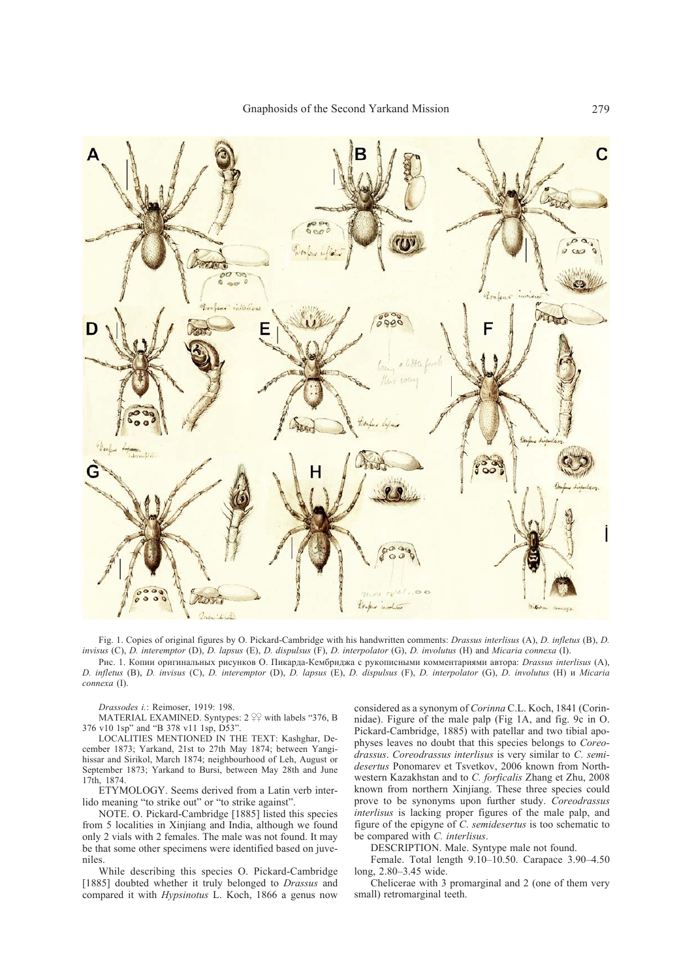

Fig. 1. Copies of original figures by O. Pickard-Cambridge with his handwritten comments: *Drassus interlisus* (A), *D. infletus* (B), *D. invisus* (C), *D. interemptor* (D), *D. lapsus* (E), *D. dispulsus* (F), *D. interpolator* (G), *D. involutus* (H) and *Micaria connexa* (I). Рис. 1. Копии оригинальных рисунков О. Пикарда-Кембриджа с рукописными комментариями автора: *Drassus interlisus* (A),

*D. infletus* (B), *D. invisus* (C), *D. interemptor* (D), *D. lapsus* (E), *D. dispulsus* (F), *D. interpolator* (G), *D. involutus* (H) и *Micaria connexa* (I).

*Drassodes i.*: Reimoser, 1919: 198.

MATERIAL EXAMINED. Syntypes:  $2 \frac{90}{4}$  with labels "376, B 376 v10 1sp" and "B 378 v11 1sp, D53".

LOCALITIES MENTIONED IN THE TEXT: Kashghar, December 1873; Yarkand, 21st to 27th May 1874; between Yangihissar and Sirikol, March 1874; neighbourhood of Leh, August or September 1873; Yarkand to Bursi, between May 28th and June 17th, 1874.

ETYMOLOGY. Seems derived from a Latin verb interlido meaning "to strike out" or "to strike against"

NOTE. O. Pickard-Cambridge [1885] listed this species from 5 localities in Xinjiang and India, although we found only 2 vials with 2 females. The male was not found. It may be that some other specimens were identified based on juveniles.

While describing this species O. Pickard-Cambridge [1885] doubted whether it truly belonged to *Drassus* and compared it with *Hypsinotus* L. Koch, 1866 a genus now considered as a synonym of *Corinna* C.L. Koch, 1841 (Corinnidae). Figure of the male palp (Fig 1A, and fig. 9c in O. Pickard-Cambridge, 1885) with patellar and two tibial apophyses leaves no doubt that this species belongs to *Coreodrassus*. *Coreodrassus interlisus* is very similar to *C. semidesertus* Ponomarev et Tsvetkov, 2006 known from Northwestern Kazakhstan and to *C. forficalis* Zhang et Zhu, 2008 known from northern Xinjiang. These three species could prove to be synonyms upon further study. *Coreodrassus interlisus* is lacking proper figures of the male palp, and figure of the epigyne of *C*. *semidesertus* is too schematic to be compared with *C. interlisus*.

DESCRIPTION. Male. Syntype male not found.

Female. Total length 9.10–10.50. Carapace 3.90–4.50 long, 2.80–3.45 wide.

Chelicerae with 3 promarginal and 2 (one of them very small) retromarginal teeth.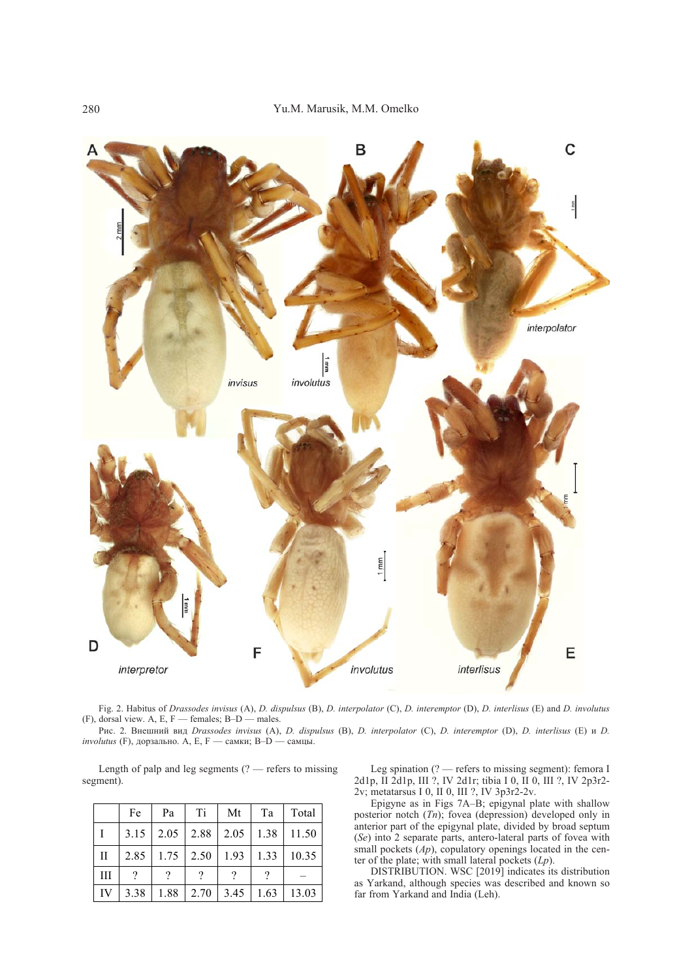

Fig. 2. Habitus of *Drassodes invisus* (A), *D. dispulsus* (B), *D. interpolator* (C), *D. interemptor* (D), *D. interlisus* (E) and *D. involutus* (F), dorsal view. A, E, F — females;  $B-D$  — males.

Рис. 2. Внешний вид *Drassodes invisus* (A), *D. dispulsus* (B), *D. interpolator* (C), *D. interemptor* (D), *D. interlisus* (E) и *D. involutus* (F), дорзально. A, E, F — самки; B-D — самцы.

Length of palp and leg segments  $(?)$  — refers to missing segment).

|              | Fe   | Pa            | Ti   | Mt            | Ta   | Total |
|--------------|------|---------------|------|---------------|------|-------|
|              |      | $3.15$   2.05 | 2.88 | $2.05$   1.38 |      | 11.50 |
| $\mathbf{H}$ |      | $2.85$   1.75 | 2.50 | 1.93          | 1.33 | 10.35 |
| Ш            |      |               |      |               |      |       |
| IV           | 3.38 | 1.88          | 2.70 | 3.45          | 1.63 | 13.03 |

Leg spination (? — refers to missing segment): femora I 2d1p, II 2d1p, III ?, IV 2d1r; tibia I 0, II 0, III ?, IV 2p3r2- 2v; metatarsus I 0, II 0, III ?, IV 3p3r2-2v.

Epigyne as in Figs 7A–B; epigynal plate with shallow posterior notch (*Tn*); fovea (depression) developed only in anterior part of the epigynal plate, divided by broad septum (*Se*) into 2 separate parts, antero-lateral parts of fovea with small pockets (*Ap*), copulatory openings located in the center of the plate; with small lateral pockets (*Lp*).

DISTRIBUTION. WSC [2019] indicates its distribution as Yarkand, although species was described and known so far from Yarkand and India (Leh).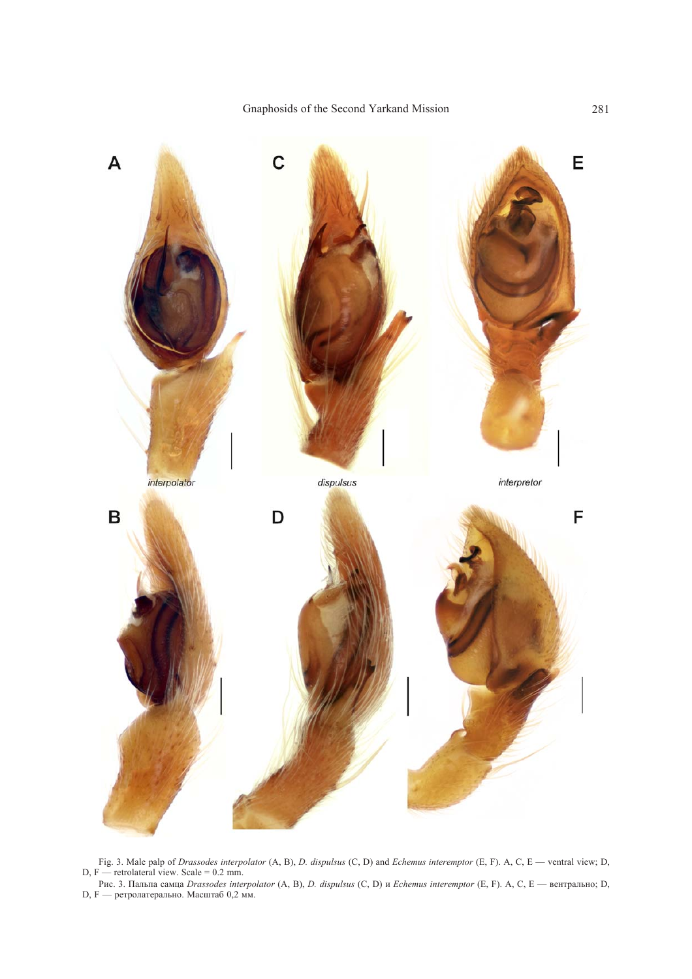

Fig. 3. Male palp of *Drassodes interpolator* (A, B), *D. dispulsus* (C, D) and *Echemus interemptor* (E, F). A, C, E — ventral view; D,  $D, F$  — retrolateral view. Scale = 0.2 mm.

Рис. 3. Пальпа самца *Drassodes interpolator* (A, B), *D. dispulsus* (C, D) и *Echemus interemptor* (E, F). A, C, E — вентрально; D, D, F — ретролатерально. Масштаб 0,2 мм.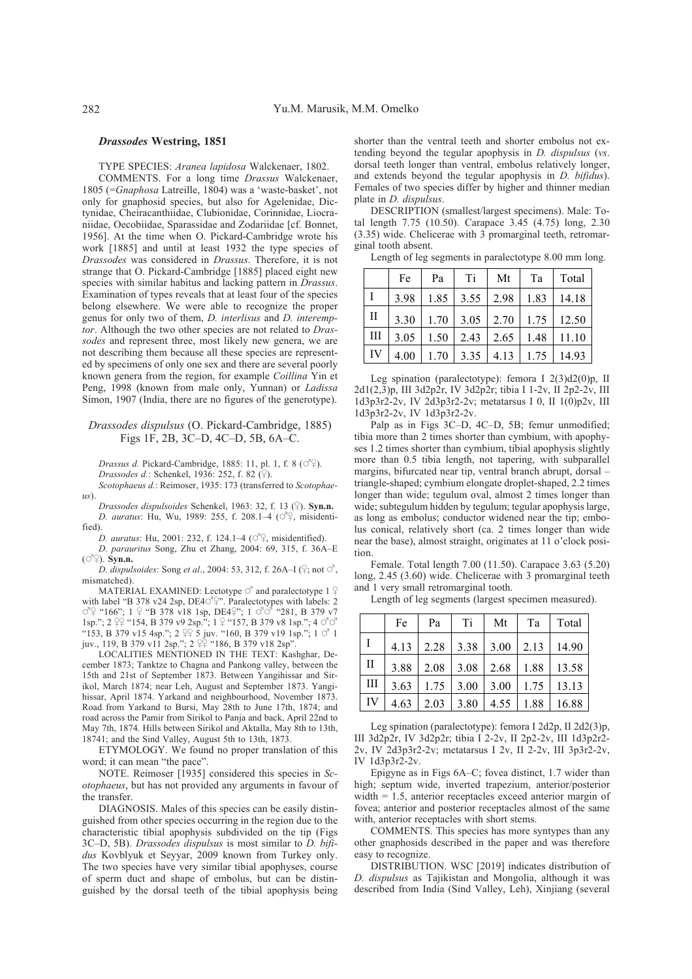#### *Drassodes* **Westring, 1851**

TYPE SPECIES: *Aranea lapidosa* Walckenaer, 1802.

COMMENTS. For a long time *Drassus* Walckenaer, 1805 (=*Gnaphosa* Latreille, 1804) was a 'waste-basket', not only for gnaphosid species, but also for Agelenidae, Dictynidae, Cheiracanthiidae, Clubionidae, Corinnidae, Liocraniidae, Oecobiidae, Sparassidae and Zodariidae [cf. Bonnet, 1956]. At the time when O. Pickard-Cambridge wrote his work [1885] and until at least 1932 the type species of *Drassodes* was considered in *Drassus*. Therefore, it is not strange that O. Pickard-Cambridge [1885] placed eight new species with similar habitus and lacking pattern in *Drassus*. Examination of types reveals that at least four of the species belong elsewhere. We were able to recognize the proper genus for only two of them, *D. interlisus* and *D. interemptor*. Although the two other species are not related to *Drassodes* and represent three, most likely new genera, we are not describing them because all these species are represented by specimens of only one sex and there are several poorly known genera from the region, for example *Coillina* Yin et Peng, 1998 (known from male only, Yunnan) or *Ladissa* Simon, 1907 (India, there are no figures of the generotype).

## *Drassodes dispulsus* (O. Pickard-Cambridge, 1885) Figs 1F, 2B, 3C–D, 4C–D, 5B, 6A–C.

*Drassus d.* Pickard-Cambridge, 1885: 11, pl. 1, f. 8 (O<sup>2</sup> $\varphi$ ). *Drassodes d.*: Schenkel, 1936: 252, f. 82 (2).

*Scotophaeus d.*: Reimoser, 1935: 173 (transferred to *Scotophae-* $\overline{u}$ 

*Drassodes dispulsoides* Schenkel, 1963: 32, f. 13 (\$). **Syn.n.** *D. auratus*: Hu, Wu, 1989: 255, f. 208.1-4 ( $\circ$ <sup>2</sup>), misidentified)

*D. auratus*: Hu, 2001: 232, f. 124.1–4 ( $\circ$ <sup>2</sup>, misidentified).

*D. parauritus* Song, Zhu et Zhang, 2004: 69, 315, f. 36A–E  $(\overrightarrow{O} \hat{S})$ . **Syn.n.** 

*D. dispulsoides: Song et al.*, 2004: 53, 312, f. 26A–I ( $\frac{1}{2}$ ; not  $\circlearrowleft$ , mismatched).

MATERIAL EXAMINED: Lectotype  $\circ$  and paralectotype 1  $\circ$ with label "B 378 v24 2sp, DE4 $\circ$ <sup>2</sup>". Paralectotypes with labels: 2  $\circ$  "166"; 1  $\circ$  "B 378 v18 1sp, DE4 $\circ$ "; 1  $\circ$  " "281, B 379 v7  $\sigma$ <sup>2</sup> ( $\uparrow$  166"; 1  $\uparrow$  ( $\uparrow$  B 378 v18 1sp, DE4 $\uparrow$ "; 1  $\sigma$   $\sigma$  ( $\uparrow$  281, B 379 v7 1sp."; 2  $\uparrow$  2 $\uparrow$  154, B 379 v9 2sp."; 1  $\uparrow$  ( $\uparrow$  157, B 379 v8 1sp."; 4  $\sigma$  $\sigma$ "153, B 379 v15 4sp."; 2  $2\frac{9}{5}$  juv. "160, B 379 v19 1sp."; 1  $\circ$  1 juv., 119, B 379 v11 2sp."; 2  $2\frac{9}{7}$  "186, B 379 v18 2sp".

LOCALITIES MENTIONED IN THE TEXT: Kashghar, December 1873; Tanktze to Chagna and Pankong valley, between the 15th and 21st of September 1873. Between Yangihissar and Sirikol, March 1874; near Leh, August and September 1873. Yangihissar, April 1874. Yarkand and neighbourhood, November 1873. Road from Yarkand to Bursi, May 28th to June 17th, 1874; and road across the Pamir from Sirikol to Panja and back, April 22nd to May 7th, 1874. Hills between Sirikol and Aktalla, May 8th to 13th, 18741; and the Sind Valley, August 5th to 13th, 1873.

ETYMOLOGY. We found no proper translation of this word; it can mean "the pace".

NOTE. Reimoser [1935] considered this species in *Scotophaeus*, but has not provided any arguments in favour of the transfer.

DIAGNOSIS. Males of this species can be easily distinguished from other species occurring in the region due to the characteristic tibial apophysis subdivided on the tip (Figs 3C–D, 5B). *Drassodes dispulsus* is most similar to *D. bifidus* Kovblyuk et Seyyar, 2009 known from Turkey only. The two species have very similar tibial apophyses, course of sperm duct and shape of embolus, but can be distinguished by the dorsal teeth of the tibial apophysis being

shorter than the ventral teeth and shorter embolus not extending beyond the tegular apophysis in *D. dispulsus* (*vs*. dorsal teeth longer than ventral, embolus relatively longer, and extends beyond the tegular apophysis in *D. bifidus*). Females of two species differ by higher and thinner median plate in *D. dispulsus*.

DESCRIPTION (smallest/largest specimens). Male: Total length 7.75 (10.50). Carapace 3.45 (4.75) long, 2.30 (3.35) wide. Chelicerae with 3 promarginal teeth, retromarginal tooth absent.

Length of leg segments in paralectotype 8.00 mm long.

|                    | Fe   | Pa   | Ti   | Mt   | Ta   | Total |
|--------------------|------|------|------|------|------|-------|
| ιI                 | 3.98 | 1.85 | 3.55 | 2.98 | 1.83 | 14.18 |
| П                  | 3.30 | 1.70 | 3.05 | 2.70 | 1.75 | 12.50 |
| $\mathop{\rm III}$ | 3.05 | 1.50 | 2.43 | 2.65 | 1.48 | 11.10 |
| IV                 | 4.00 | 1.70 | 3.35 | 4.13 | 1.75 | 14.93 |

Leg spination (paralectotype): femora I 2(3)d2(0)p, II 2d1(2,3)p, III 3d2p2r, IV 3d2p2r; tibia I 1-2v, II 2p2-2v, III 1d3p3r2-2v, IV 2d3p3r2-2v; metatarsus I 0, II  $1(0)p2v$ , III 1d3p3r2-2v, IV 1d3p3r2-2v.

Palp as in Figs 3C–D, 4C–D, 5B; femur unmodified; tibia more than 2 times shorter than cymbium, with apophyses 1.2 times shorter than cymbium, tibial apophysis slightly more than 0.5 tibia length, not tapering, with subparallel margins, bifurcated near tip, ventral branch abrupt, dorsal – triangle-shaped; cymbium elongate droplet-shaped, 2.2 times longer than wide; tegulum oval, almost 2 times longer than wide; subtegulum hidden by tegulum; tegular apophysis large, as long as embolus; conductor widened near the tip; embolus conical, relatively short (ca. 2 times longer than wide near the base), almost straight, originates at 11 o'clock position.

Female. Total length 7.00 (11.50). Carapace 3.63 (5.20) long, 2.45 (3.60) wide. Chelicerae with 3 promarginal teeth and 1 very small retromarginal tooth.

Length of leg segments (largest specimen measured).

|              | Fe | Pa | Ti | Mt | Ta | Total                                      |
|--------------|----|----|----|----|----|--------------------------------------------|
| $\mathbf{I}$ |    |    |    |    |    | $4.13$   2.28   3.38   3.00   2.13   14.90 |
| $\mathbf{I}$ |    |    |    |    |    | 3.88 2.08 3.08 2.68 1.88 13.58             |
| Ш            |    |    |    |    |    | $3.63$   1.75   3.00   3.00   1.75   13.13 |
| IV           |    |    |    |    |    | $4.63$   2.03   3.80   4.55   1.88   16.88 |

Leg spination (paralectotype): femora I 2d2p, II 2d2(3)p, III 3d2p2r, IV 3d2p2r; tibia I 2-2v, II 2p2-2v, III 1d3p2r2- 2v, IV 2d3p3r2-2v; metatarsus I 2v, II 2-2v, III 3p3r2-2v, IV 1d3p3r2-2v.

Epigyne as in Figs 6A–C; fovea distinct, 1.7 wider than high; septum wide, inverted trapezium, anterior/posterior width = 1.5, anterior receptacles exceed anterior margin of fovea; anterior and posterior receptacles almost of the same with, anterior receptacles with short stems.

COMMENTS. This species has more syntypes than any other gnaphosids described in the paper and was therefore easy to recognize.

DISTRIBUTION. WSC [2019] indicates distribution of *D. dispulsus* as Tajikistan and Mongolia, although it was described from India (Sind Valley, Leh), Xinjiang (several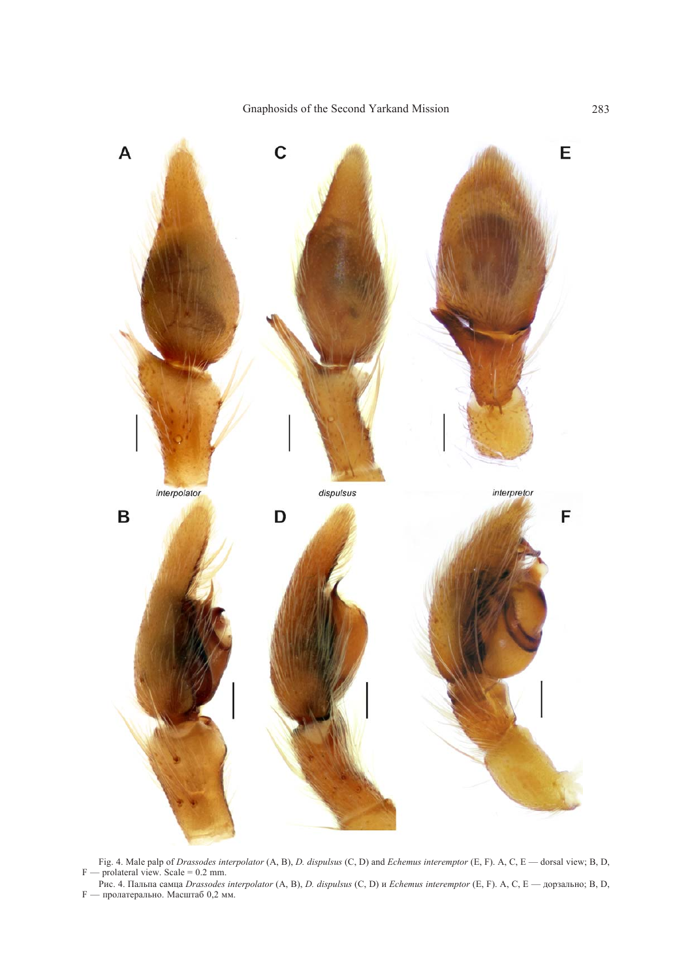

Fig. 4. Male palp of *Drassodes interpolator* (A, B), *D. dispulsus* (C, D) and *Echemus interemptor* (E, F). A, C, E — dorsal view; B, D,  $F$  — prolateral view. Scale = 0.2 mm.

Рис. 4. Пальпа самца *Drassodes interpolator* (A, B), *D. dispulsus* (C, D) и *Echemus interemptor* (E, F). A, C, E — дорзально; B, D, F — пролатерально. Масштаб 0,2 мм.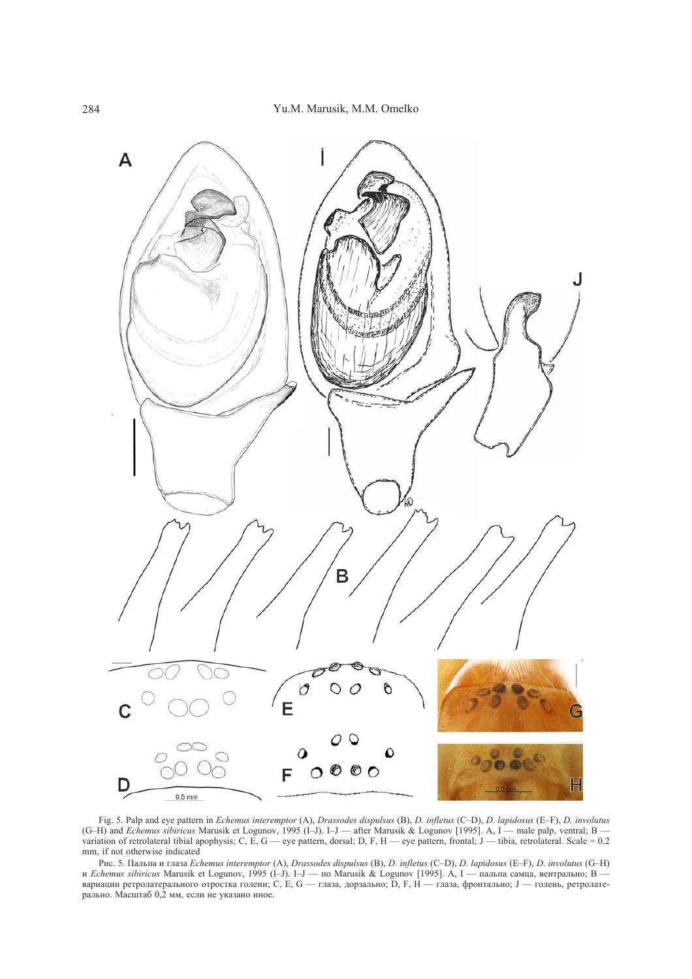

Fig. 5. Palp and eye pattern in *Echemus interemptor* (A), *Drassodes dispulsus* (B), *D. infletus* (C–D), *D. lapidosus* (E–F), *D. involutus* (G–H) and *Echemus sibiricus* Marusik et Logunov, 1995 (I–J). I–J — after Marusik & Logunov [1995]. A, I — male palp, ventral; B variation of retrolateral tibial apophysis; C, E,  $G$  — eye pattern, dorsal; D, F, H — eye pattern, frontal; J — tibia, retrolateral. Scale = 0.2 mm, if not otherwise indicated

Рис. 5. Пальпа и глаза *Echemus interemptor* (A), *Drassodes dispulsus* (B), *D. infletus* (C–D), *D. lapidosus* (E–F), *D. involutus* (G–H) и *Echemus sibiricus* Marusik et Logunov, 1995 (I–J). I–J — по Marusik & Logunov [1995]. A, I — пальпа самца, вентрально; B вариации ретролатерального отростка голени; С, Е, G — глаза, дорзально; D, F, H — глаза, фронтально; J — голень, ретролатерально. Масштаб 0,2 мм, если не указано иное.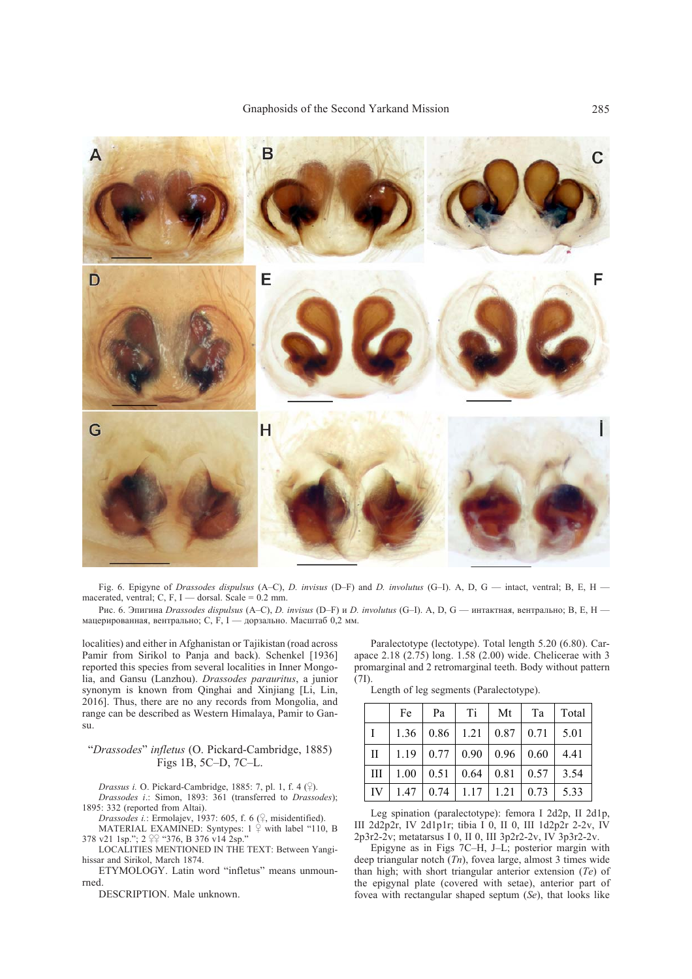

Fig. 6. Epigyne of *Drassodes dispulsus* (A–C), *D. invisus* (D–F) and *D. involutus* (G–I). A, D, G — intact, ventral; B, E, H macerated, ventral; C, F, I — dorsal, Scale =  $0.2$  mm.

Рис. 6. Эпигина *Drassodes dispulsus* (A–C), *D. invisus* (D–F) и *D. involutus* (G–I). A, D, G — интактная, вентрально; B, E, H мацерированная, вентрально; С,  $\overline{F}$ , I — дорзально. Масштаб 0,2 мм.

localities) and either in Afghanistan or Tajikistan (road across Pamir from Sirikol to Panja and back). Schenkel [1936] reported this species from several localities in Inner Mongolia, and Gansu (Lanzhou). *Drassodes parauritus*, a junior synonym is known from Qinghai and Xinjiang [Li, Lin, 2016]. Thus, there are no any records from Mongolia, and range can be described as Western Himalaya, Pamir to Gansu.

#### "*Drassodes*" *infletus* (O. Pickard-Cambridge, 1885) Figs 1B, 5C–D, 7C–L.

*Drassus i.* O. Pickard-Cambridge, 1885: 7, pl. 1, f. 4  $(\frac{\mathcal{Q}}{})$ .

*Drassodes i*.: Simon, 1893: 361 (transferred to *Drassodes*); 1895: 332 (reported from Altai).

*Drassodes i.:* Ermolajev, 1937: 605, f. 6 (9, misidentified).

MATERIAL EXAMINED: Syntypes:  $1 \overset{\circ}{ }$  with label "110, B 378 v21 1sp.";  $2 \nsubseteq$  "376, B 376 v14 2sp."

LOCALITIES MENTIONED IN THE TEXT: Between Yangihissar and Sirikol, March 1874.

ETYMOLOGY. Latin word "infletus" means unmounrned.

DESCRIPTION. Male unknown.

Paralectotype (lectotype). Total length 5.20 (6.80). Carapace 2.18 (2.75) long. 1.58 (2.00) wide. Chelicerae with 3 promarginal and 2 retromarginal teeth. Body without pattern (7I).

Length of leg segments (Paralectotype).

|              | Fe   | Pa   | Ti   | Mt                                   | Ta   | Total |
|--------------|------|------|------|--------------------------------------|------|-------|
|              | 1.36 | 0.86 |      | $1.21 \mid 0.87 \mid 0.71$           |      | 5.01  |
| $\mathbf{I}$ | 1.19 |      |      | $0.77 \mid 0.90 \mid 0.96 \mid 0.60$ |      | 4.41  |
| III          | 1.00 | 0.51 | 0.64 | 0.81                                 | 0.57 | 3.54  |
| IV           | 1.47 | 0.74 | 1.17 | 1.21                                 | 0.73 | 5.33  |

Leg spination (paralectotype): femora I 2d2p, II 2d1p, III 2d2p2r, IV 2d1p1r; tibia I 0, II 0, III 1d2p2r 2-2v, IV 2p3r2-2v; metatarsus I 0, II 0, III 3p2r2-2v, IV 3p3r2-2v.

Epigyne as in Figs 7C–H, J–L; posterior margin with deep triangular notch (*Tn*), fovea large, almost 3 times wide than high; with short triangular anterior extension (*Te*) of the epigynal plate (covered with setae), anterior part of fovea with rectangular shaped septum (*Se*), that looks like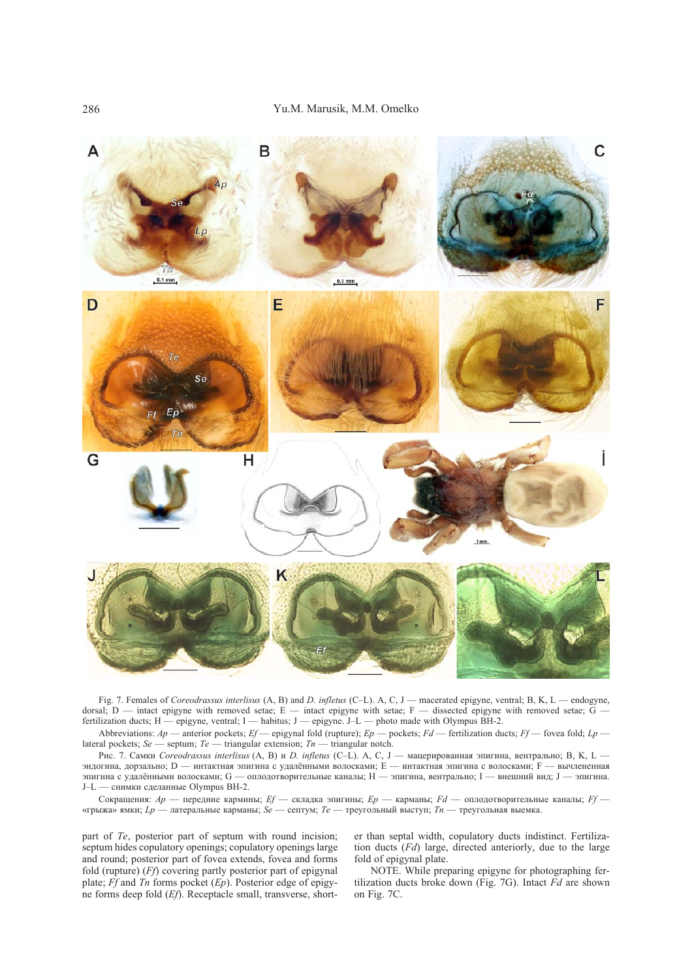

Fig. 7. Females of *Coreodrassus interlisus* (A, B) and *D. infletus* (C–L). A, C, J — macerated epigyne, ventral; B, K, L — endogyne, dorsal; D — intact epigyne with removed setae; E — intact epigyne with setae; F — dissected epigyne with removed setae;  $\vec{G}$  fertilization ducts;  $H -$ epigyne, ventral; I — habitus; J — epigyne. J–L — photo made with Olympus BH-2.

Abbreviations: *Ap* — anterior pockets; *Ef* — epigynal fold (rupture); *Ep* — pockets; *Fd* — fertilization ducts; *Ff* — fovea fold; *Lp*  lateral pockets; *Se* — septum; *Te* — triangular extension; *Tn* — triangular notch.

Рис. 7. Самки *Coreodrassus interlisus* (A, B) и *D. infletus* (C–L). A, C, J — мацерированная эпигина, вентрально; B, K, L эндогина, дорзально; D — интактная эпигина с удалёнными волосками; E — интактная эпигина с волосками; F — вычлененная эпигина с удалёнными волосками; G — оплодотворительные каналы; H — эпигина, вентрально; I — внешний вид; J — эпигина. J–L — снимки сделанные Olympus BH-2.

Сокращения: *Ap* — передние кармины; *Ef* — складка эпигины; *Ep* — карманы; *Fd* — оплодотворительные каналы; *Ff* — «грыжа» ямки; *Lp* — латеральные карманы; *Se* — септум; *Te* — треугольный выступ; *Tn* — треугольная выемка.

part of *Te*, posterior part of septum with round incision; septum hides copulatory openings; copulatory openings large and round; posterior part of fovea extends, fovea and forms fold (rupture) (*Ff*) covering partly posterior part of epigynal plate; *Ff* and *Tn* forms pocket (*Ep*). Posterior edge of epigyne forms deep fold (*Ef*). Receptacle small, transverse, shorter than septal width, copulatory ducts indistinct. Fertilization ducts (*Fd*) large, directed anteriorly, due to the large fold of epigynal plate.

NOTE. While preparing epigyne for photographing fertilization ducts broke down (Fig. 7G). Intact *Fd* are shown on Fig. 7C.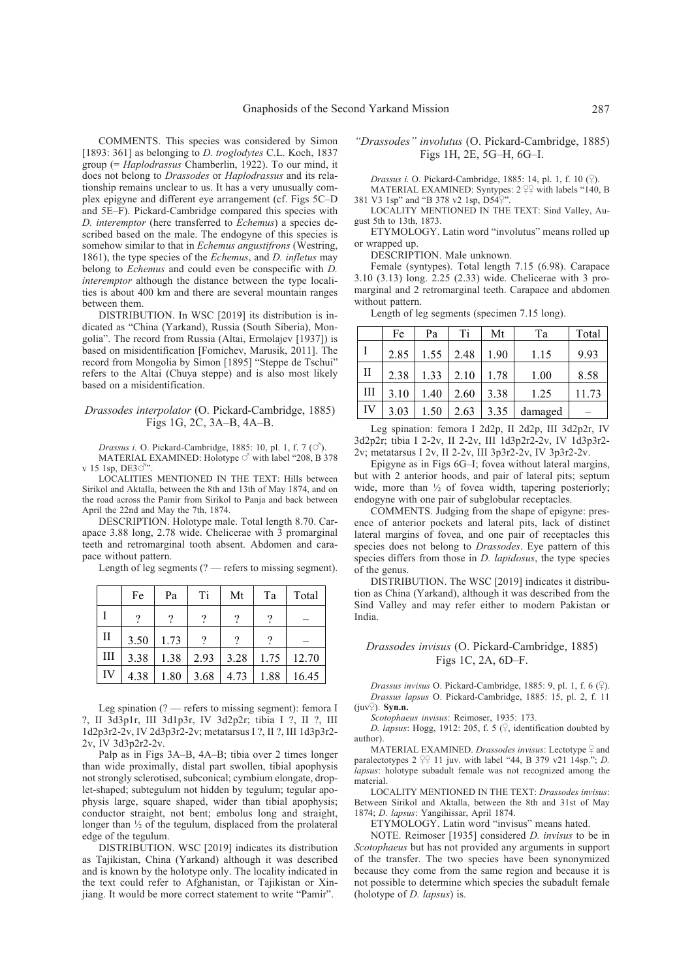COMMENTS. This species was considered by Simon [1893: 361] as belonging to *D. troglodytes* C.L. Koch, 1837 group (= *Haplodrassus* Chamberlin, 1922). To our mind, it does not belong to *Drassodes* or *Haplodrassus* and its relationship remains unclear to us. It has a very unusually complex epigyne and different eye arrangement (cf. Figs 5C–D and 5E–F). Pickard-Cambridge compared this species with *D. interemptor* (here transferred to *Echemus*) a species described based on the male. The endogyne of this species is somehow similar to that in *Echemus angustifrons* (Westring, 1861), the type species of the *Echemus*, and *D. infletus* may belong to *Echemus* and could even be conspecific with *D. interemptor* although the distance between the type localities is about 400 km and there are several mountain ranges between them.

DISTRIBUTION. In WSC [2019] its distribution is indicated as "China (Yarkand), Russia (South Siberia), Mongolia". The record from Russia (Altai, Ermolajev [1937]) is based on misidentification [Fomichev, Marusik, 2011]. The record from Mongolia by Simon [1895] "Steppe de Tschui" refers to the Altai (Chuya steppe) and is also most likely based on a misidentification.

#### *Drassodes interpolator* (O. Pickard-Cambridge, 1885) Figs 1G, 2C, 3A–B, 4A–B.

*Drassus i.* O. Pickard-Cambridge, 1885: 10, pl. 1, f. 7 ( $\circ$ <sup>7</sup>). MATERIAL EXAMINED: Holotype  $\circlearrowleft$  with label "208, B 378 v 15 1sp, DE3 $\circ$ 

LOCALITIES MENTIONED IN THE TEXT: Hills between Sirikol and Aktalla, between the 8th and 13th of May 1874, and on the road across the Pamir from Sirikol to Panja and back between April the 22nd and May the 7th, 1874.

DESCRIPTION. Holotype male. Total length 8.70. Carapace 3.88 long, 2.78 wide. Chelicerae with 3 promarginal teeth and retromarginal tooth absent. Abdomen and carapace without pattern.

Length of leg segments  $(?)$  — refers to missing segment).

|              | Fe   | Pa   | Ti   | Mt   | Ta   | Total |
|--------------|------|------|------|------|------|-------|
|              |      | 9    |      |      |      |       |
| $\mathbf{I}$ | 3.50 | 1.73 |      |      |      |       |
| Ш            | 3.38 | 1.38 | 2.93 | 3.28 | 1.75 | 12.70 |
| IV           | 4.38 | 1.80 | 3.68 | 4.73 | 1.88 | 16.45 |

Leg spination (? — refers to missing segment): femora I ?, II 3d3p1r, III 3d1p3r, IV 3d2p2r; tibia I ?, II ?, III 1d2p3r2-2v, IV 2d3p3r2-2v; metatarsus I ?, II ?, III 1d3p3r2- 2v, IV 3d3p2r2-2v.

Palp as in Figs 3A–B, 4A–B; tibia over 2 times longer than wide proximally, distal part swollen, tibial apophysis not strongly sclerotised, subconical; cymbium elongate, droplet-shaped; subtegulum not hidden by tegulum; tegular apophysis large, square shaped, wider than tibial apophysis; conductor straight, not bent; embolus long and straight, longer than ½ of the tegulum, displaced from the prolateral edge of the tegulum.

DISTRIBUTION. WSC [2019] indicates its distribution as Tajikistan, China (Yarkand) although it was described and is known by the holotype only. The locality indicated in the text could refer to Afghanistan, or Tajikistan or Xinjiang. It would be more correct statement to write "Pamir".

### *"Drassodes" involutus* (O. Pickard-Cambridge, 1885) Figs 1H, 2E, 5G–H, 6G–I.

*Drassus i.* O. Pickard-Cambridge, 1885: 14, pl. 1, f. 10 (9).

MATERIAL EXAMINED: Syntypes:  $2 \frac{99}{4}$  with labels "140, B 381 V3 1sp" and "B 378 v2 1sp,  $D54\frac{?}{4}$ "

LOCALITY MENTIONED IN THE TEXT: Sind Valley, August 5th to 13th, 1873.

ETYMOLOGY. Latin word "involutus" means rolled up or wrapped up.

DESCRIPTION. Male unknown.

Female (syntypes). Total length 7.15 (6.98). Carapace 3.10 (3.13) long. 2.25 (2.33) wide. Chelicerae with 3 promarginal and 2 retromarginal teeth. Carapace and abdomen without pattern.

Length of leg segments (specimen 7.15 long).

|    | Fe   | Pa   | Ti   | Mt   | Ta      | Total |
|----|------|------|------|------|---------|-------|
|    | 2.85 | 1.55 | 2.48 | 1.90 | 1.15    | 9.93  |
| П  | 2.38 | 1.33 | 2.10 | 1.78 | 1.00    | 8.58  |
| Ш  | 3.10 | 1.40 | 2.60 | 3.38 | 1.25    | 11.73 |
| IV | 3.03 | 1.50 | 2.63 | 3.35 | damaged |       |

Leg spination: femora I 2d2p, II 2d2p, III 3d2p2r, IV 3d2p2r; tibia I 2-2v, II 2-2v, III 1d3p2r2-2v, IV 1d3p3r2- 2v; metatarsus I 2v, II 2-2v, III 3p3r2-2v, IV 3p3r2-2v.

Epigyne as in Figs 6G–I; fovea without lateral margins, but with 2 anterior hoods, and pair of lateral pits; septum wide, more than  $\frac{1}{2}$  of fovea width, tapering posteriorly; endogyne with one pair of subglobular receptacles.

COMMENTS. Judging from the shape of epigyne: presence of anterior pockets and lateral pits, lack of distinct lateral margins of fovea, and one pair of receptacles this species does not belong to *Drassodes*. Eye pattern of this species differs from those in *D. lapidosus*, the type species of the genus.

DISTRIBUTION. The WSC [2019] indicates it distribution as China (Yarkand), although it was described from the Sind Valley and may refer either to modern Pakistan or India.

### *Drassodes invisus* (O. Pickard-Cambridge, 1885) Figs 1C, 2A, 6D–F.

*Drassus invisus* O. Pickard-Cambridge, 1885: 9, pl. 1, f. 6  $(2)$ . *Drassus lapsus* O. Pickard-Cambridge, 1885: 15, pl. 2, f. 11  $(iuv^{\mathcal{Q}})$ . **Syn.n.** 

*Scotophaeus invisus*: Reimoser, 1935: 173.

*D. lapsus*: Hogg, 1912: 205, f. 5  $(\frac{6}{5})$ , identification doubted by author).

MATERIAL EXAMINED. *Drassodes invisus*: Lectotype  $\frac{1}{2}$  and paralectotypes  $2 \frac{90}{4}$  11 juv. with label "44, B 379 v21 14sp."; *D. lapsus*: holotype subadult female was not recognized among the material.

LOCALITY MENTIONED IN THE TEXT: *Drassodes invisus*: Between Sirikol and Aktalla, between the 8th and 31st of May 1874; *D. lapsus*: Yangihissar, April 1874.

ETYMOLOGY. Latin word "invisus" means hated.

NOTE. Reimoser [1935] considered *D. invisus* to be in *Scotophaeus* but has not provided any arguments in support of the transfer. The two species have been synonymized because they come from the same region and because it is not possible to determine which species the subadult female (holotype of *D. lapsus*) is.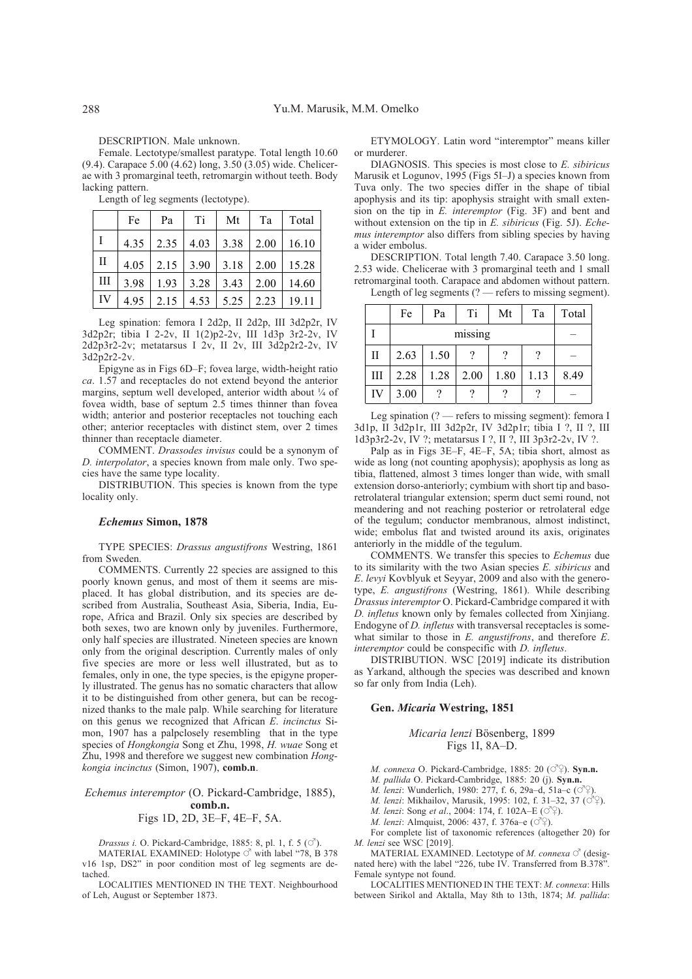DESCRIPTION. Male unknown.

Female. Lectotype/smallest paratype. Total length 10.60 (9.4). Carapace 5.00 (4.62) long, 3.50 (3.05) wide. Chelicerae with 3 promarginal teeth, retromargin without teeth. Body lacking pattern.

Length of leg segments (lectotype).

|    | Fe   | Pa | Ti          | Mt                                 | Ta   | Total |
|----|------|----|-------------|------------------------------------|------|-------|
| Ι  | 4.35 |    |             | $2.35$   4.03   3.38   2.00        |      | 16.10 |
| П  |      |    |             | $4.05$   2.15   3.90   3.18   2.00 |      | 15.28 |
| Ш  | 3.98 |    | $1.93$ 3.28 | $3.43$ 2.00                        |      | 14.60 |
| IV | 4.95 |    |             | $2.15$   4.53   5.25               | 2.23 | 19.11 |

Leg spination: femora I 2d2p, II 2d2p, III 3d2p2r, IV 3d2p2r; tibia I 2-2v, II 1(2)p2-2v, III 1d3p 3r2-2v, IV 2d2p3r2-2v; metatarsus I 2v, II 2v, III 3d2p2r2-2v, IV 3d2p2r2-2v.

Epigyne as in Figs 6D–F; fovea large, width-height ratio *ca*. 1.57 and receptacles do not extend beyond the anterior margins, septum well developed, anterior width about 1/4 of fovea width, base of septum 2.5 times thinner than fovea width; anterior and posterior receptacles not touching each other; anterior receptacles with distinct stem, over 2 times thinner than receptacle diameter.

COMMENT. *Drassodes invisus* could be a synonym of *D. interpolator*, a species known from male only. Two species have the same type locality.

DISTRIBUTION. This species is known from the type locality only.

#### *Echemus* **Simon, 1878**

TYPE SPECIES: *Drassus angustifrons* Westring, 1861 from Sweden.

COMMENTS. Currently 22 species are assigned to this poorly known genus, and most of them it seems are misplaced. It has global distribution, and its species are described from Australia, Southeast Asia, Siberia, India, Europe, Africa and Brazil. Only six species are described by both sexes, two are known only by juveniles. Furthermore, only half species are illustrated. Nineteen species are known only from the original description. Currently males of only five species are more or less well illustrated, but as to females, only in one, the type species, is the epigyne properly illustrated. The genus has no somatic characters that allow it to be distinguished from other genera, but can be recognized thanks to the male palp. While searching for literature on this genus we recognized that African *E*. *incinctus* Simon, 1907 has a palpclosely resembling that in the type species of *Hongkongia* Song et Zhu, 1998, *H. wuae* Song et Zhu, 1998 and therefore we suggest new combination *Hongkongia incinctus* (Simon, 1907), **comb.n**.

### *Echemus interemptor* (O. Pickard-Cambridge, 1885), **comb.n.** Figs 1D, 2D, 3E–F, 4E–F, 5A.

*Drassus i.* O. Pickard-Cambridge, 1885: 8, pl. 1, f. 5 ( $\circlearrowleft$ ).

MATERIAL EXAMINED: Holotype  $\circ$ <sup>7</sup> with label "78, B 378 v16 1sp, DS2" in poor condition most of leg segments are detached.

LOCALITIES MENTIONED IN THE TEXT. Neighbourhood of Leh, August or September 1873.

ETYMOLOGY. Latin word "interemptor" means killer or murderer.

DIAGNOSIS. This species is most close to *E. sibiricus* Marusik et Logunov, 1995 (Figs 5I–J) a species known from Tuva only. The two species differ in the shape of tibial apophysis and its tip: apophysis straight with small extension on the tip in *E. interemptor* (Fig. 3F) and bent and without extension on the tip in *E. sibiricus* (Fig. 5J). *Echemus interemptor* also differs from sibling species by having a wider embolus.

DESCRIPTION. Total length 7.40. Carapace 3.50 long. 2.53 wide. Chelicerae with 3 promarginal teeth and 1 small retromarginal tooth. Carapace and abdomen without pattern. Length of leg segments (? — refers to missing segment).

|     | Fe   | Pa   | Ti   | Mt   | Ta   | Total |
|-----|------|------|------|------|------|-------|
|     |      |      |      |      |      |       |
| H   | 2.63 | 1.50 |      |      |      |       |
| IΙI | 2.28 | 1.28 | 2.00 | 1.80 | 1.13 | 8.49  |
| IV  | 3.00 |      |      |      |      |       |

Leg spination (? — refers to missing segment): femora I 3d1p, II 3d2p1r, III 3d2p2r, IV 3d2p1r; tibia I ?, II ?, III 1d3p3r2-2v, IV ?; metatarsus I ?, II ?, III 3p3r2-2v, IV ?.

Palp as in Figs 3E–F, 4E–F, 5A; tibia short, almost as wide as long (not counting apophysis); apophysis as long as tibia, flattened, almost 3 times longer than wide, with small extension dorso-anteriorly; cymbium with short tip and basoretrolateral triangular extension; sperm duct semi round, not meandering and not reaching posterior or retrolateral edge of the tegulum; conductor membranous, almost indistinct, wide; embolus flat and twisted around its axis, originates anteriorly in the middle of the tegulum.

COMMENTS. We transfer this species to *Echemus* due to its similarity with the two Asian species *E. sibiricus* and *E*. *levyi* Kovblyuk et Seyyar, 2009 and also with the generotype, *E. angustifrons* (Westring, 1861). While describing *Drassus interemptor* O. Pickard-Cambridge compared it with *D. infletus* known only by females collected from Xinjiang. Endogyne of *D. infletus* with transversal receptacles is somewhat similar to those in *E. angustifrons*, and therefore *E*. *interemptor* could be conspecific with *D. infletus*.

DISTRIBUTION. WSC [2019] indicate its distribution as Yarkand, although the species was described and known so far only from India (Leh).

### **Gen.** *Micaria* **Westring, 1851**

# *Micaria lenzi* Bösenberg, 1899

Figs 1I, 8A–D.

*M. connexa* O. Pickard-Cambridge, 1885: 20 ( $\circ$ <sup>7</sup> $\circ$ ). **Syn.n.** 

*M. pallida* O. Pickard-Cambridge, 1885: 20 (j). **Syn.n.**

*M. lenzi*: Wunderlich, 1980; 277, f. 6, 29a–d, 51a–c ( $\circ$ 

*M. lenzi*: Mikhailov, Marusik, 1995: 102, f. 31-32, 37 (09).

*M. lenzi*: Song *et al.*, 2004: 174, f. 102A–E ( $\circ$ °).

*M. lenzi*: Almquist, 2006: 437, f. 376a–e  $(\vec{OQ})$ .

For complete list of taxonomic references (altogether 20) for *M. lenzi* see WSC [2019].

MATERIAL EXAMINED. Lectotype of *M. connexa*  $\circ$ <sup>7</sup> (designated here) with the label "226, tube IV. Transferred from B.378". Female syntype not found.

LOCALITIES MENTIONED IN THE TEXT: *M. connexa*: Hills between Sirikol and Aktalla, May 8th to 13th, 1874; *M. pallida*: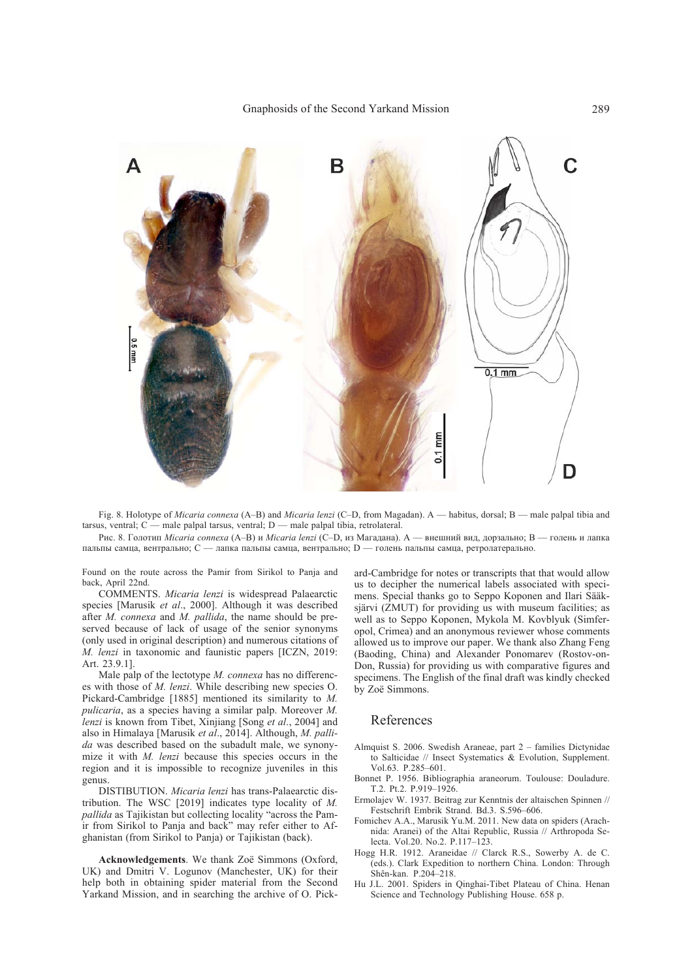

Fig. 8. Holotype of *Micaria connexa* (A–B) and *Micaria lenzi* (C–D, from Magadan). A — habitus, dorsal; B — male palpal tibia and tarsus, ventral; C — male palpal tarsus, ventral; D — male palpal tibia, retrolateral.

Рис. 8. Голотип *Micaria connexa* (A–B) и *Micaria lenzi* (C–D, из Магадана). A — внешний вид, дорзально; B — голень и лапка пальпы самца, вентрально; C — лапка пальпы самца, вентрально; D — голень пальпы самца, ретролатерально.

Found on the route across the Pamir from Sirikol to Panja and back, April 22nd.

COMMENTS. *Micaria lenzi* is widespread Palaearctic species [Marusik *et al*., 2000]. Although it was described after *M. connexa* and *M. pallida*, the name should be preserved because of lack of usage of the senior synonyms (only used in original description) and numerous citations of *M. lenzi* in taxonomic and faunistic papers [ICZN, 2019: Art. 23.9.1].

Male palp of the lectotype *M. connexa* has no differences with those of *M. lenzi*. While describing new species O. Pickard-Cambridge [1885] mentioned its similarity to *M. pulicaria*, as a species having a similar palp. Moreover *M. lenzi* is known from Tibet, Xinjiang [Song *et al*., 2004] and also in Himalaya [Marusik *et al*., 2014]. Although, *M. pallida* was described based on the subadult male, we synonymize it with *M. lenzi* because this species occurs in the region and it is impossible to recognize juveniles in this genus.

DISTIBUTION. *Micaria lenzi* has trans-Palaearctic distribution. The WSC [2019] indicates type locality of *M. pallida* as Tajikistan but collecting locality "across the Pamir from Sirikol to Panja and back" may refer either to Afghanistan (from Sirikol to Panja) or Tajikistan (back).

**Acknowledgements**. We thank Zoë Simmons (Oxford, UK) and Dmitri V. Logunov (Manchester, UK) for their help both in obtaining spider material from the Second Yarkand Mission, and in searching the archive of O. Pickard-Cambridge for notes or transcripts that that would allow us to decipher the numerical labels associated with specimens. Special thanks go to Seppo Koponen and Ilari Sääksjärvi  $(2MUT)$  for providing us with museum facilities; as well as to Seppo Koponen, Mykola M. Kovblyuk (Simferopol, Crimea) and an anonymous reviewer whose comments allowed us to improve our paper. We thank also Zhang Feng (Baoding, China) and Alexander Ponomarev (Rostov-on-Don, Russia) for providing us with comparative figures and specimens. The English of the final draft was kindly checked by Zoë Simmons.

#### References

- Almquist S. 2006. Swedish Araneae, part 2 families Dictynidae to Salticidae // Insect Systematics & Evolution, Supplement. Vol.63. P.285–601.
- Bonnet P. 1956. Bibliographia araneorum. Toulouse: Douladure. T.2. Pt.2. P.919–1926.
- Ermolajev W. 1937. Beitrag zur Kenntnis der altaischen Spinnen // Festschrift Embrik Strand. Bd.3. S.596–606.
- Fomichev A.A., Marusik Yu.M. 2011. New data on spiders (Arachnida: Aranei) of the Altai Republic, Russia // Arthropoda Selecta. Vol.20. No.2. P.117–123.
- Hogg H.R. 1912. Araneidae // Clarck R.S., Sowerby A. de C. (eds.). Clark Expedition to northern China. London: Through Shên-kan. P.204–218.
- Hu J.L. 2001. Spiders in Qinghai-Tibet Plateau of China. Henan Science and Technology Publishing House. 658 p.